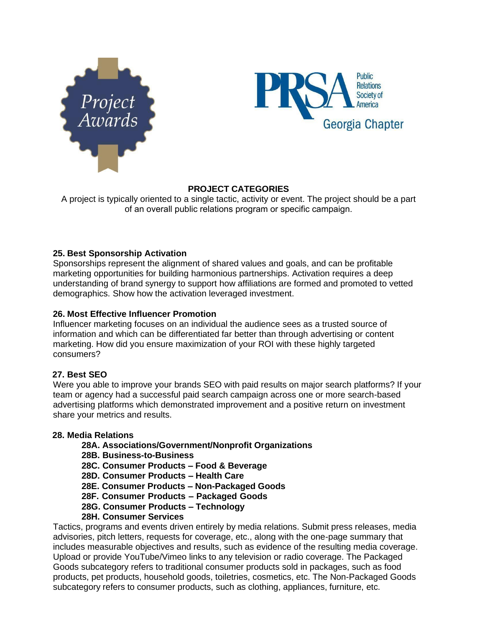



# **PROJECT CATEGORIES**

A project is typically oriented to a single tactic, activity or event. The project should be a part of an overall public relations program or specific campaign.

# **25. Best Sponsorship Activation**

Sponsorships represent the alignment of shared values and goals, and can be profitable marketing opportunities for building harmonious partnerships. Activation requires a deep understanding of brand synergy to support how affiliations are formed and promoted to vetted demographics. Show how the activation leveraged investment.

# **26. Most Effective Influencer Promotion**

Influencer marketing focuses on an individual the audience sees as a trusted source of information and which can be differentiated far better than through advertising or content marketing. How did you ensure maximization of your ROI with these highly targeted consumers?

# **27. Best SEO**

Were you able to improve your brands SEO with paid results on major search platforms? If your team or agency had a successful paid search campaign across one or more search-based advertising platforms which demonstrated improvement and a positive return on investment share your metrics and results.

# **28. Media Relations**

- **28A. Associations/Government/Nonprofit Organizations**
- **28B. Business-to-Business**
- **28C. Consumer Products – Food & Beverage**
- **28D. Consumer Products – Health Care**
- **28E. Consumer Products – Non-Packaged Goods**
- **28F. Consumer Products – Packaged Goods**
- **28G. Consumer Products – Technology**
- **28H. Consumer Services**

Tactics, programs and events driven entirely by media relations. Submit press releases, media advisories, pitch letters, requests for coverage, etc., along with the one-page summary that includes measurable objectives and results, such as evidence of the resulting media coverage. Upload or provide YouTube/Vimeo links to any television or radio coverage. The Packaged Goods subcategory refers to traditional consumer products sold in packages, such as food products, pet products, household goods, toiletries, cosmetics, etc. The Non-Packaged Goods subcategory refers to consumer products, such as clothing, appliances, furniture, etc.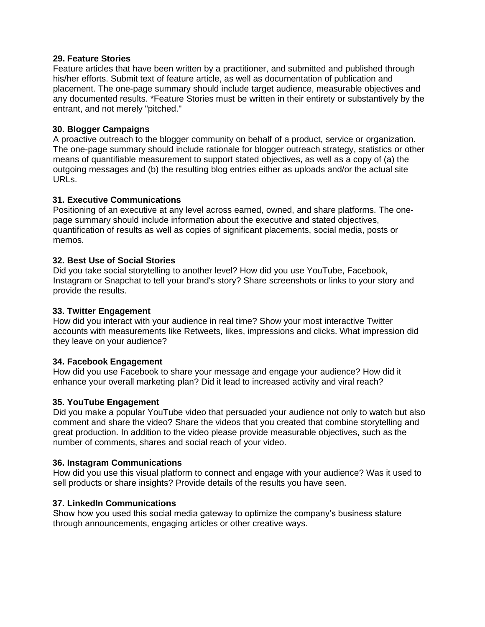### **29. Feature Stories**

Feature articles that have been written by a practitioner, and submitted and published through his/her efforts. Submit text of feature article, as well as documentation of publication and placement. The one-page summary should include target audience, measurable objectives and any documented results. \*Feature Stories must be written in their entirety or substantively by the entrant, and not merely "pitched."

# **30. Blogger Campaigns**

A proactive outreach to the blogger community on behalf of a product, service or organization. The one-page summary should include rationale for blogger outreach strategy, statistics or other means of quantifiable measurement to support stated objectives, as well as a copy of (a) the outgoing messages and (b) the resulting blog entries either as uploads and/or the actual site URLs.

# **31. Executive Communications**

Positioning of an executive at any level across earned, owned, and share platforms. The onepage summary should include information about the executive and stated objectives, quantification of results as well as copies of significant placements, social media, posts or memos.

### **32. Best Use of Social Stories**

Did you take social storytelling to another level? How did you use YouTube, Facebook, Instagram or Snapchat to tell your brand's story? Share screenshots or links to your story and provide the results.

#### **33. Twitter Engagement**

How did you interact with your audience in real time? Show your most interactive Twitter accounts with measurements like Retweets, likes, impressions and clicks. What impression did they leave on your audience?

# **34. Facebook Engagement**

How did you use Facebook to share your message and engage your audience? How did it enhance your overall marketing plan? Did it lead to increased activity and viral reach?

# **35. YouTube Engagement**

Did you make a popular YouTube video that persuaded your audience not only to watch but also comment and share the video? Share the videos that you created that combine storytelling and great production. In addition to the video please provide measurable objectives, such as the number of comments, shares and social reach of your video.

#### **36. Instagram Communications**

How did you use this visual platform to connect and engage with your audience? Was it used to sell products or share insights? Provide details of the results you have seen.

# **37. LinkedIn Communications**

Show how you used this social media gateway to optimize the company's business stature through announcements, engaging articles or other creative ways.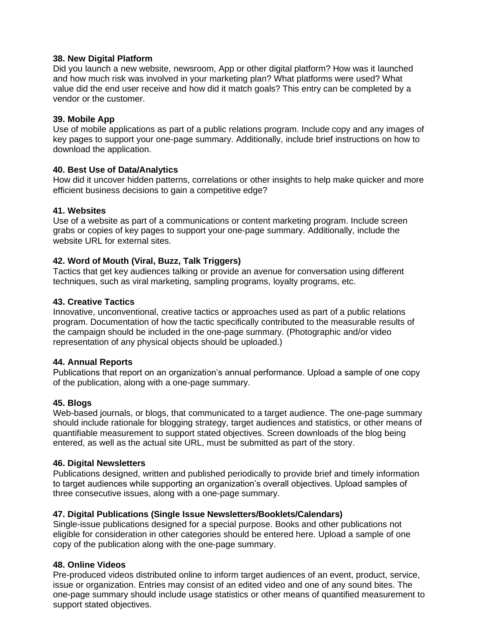### **38. New Digital Platform**

Did you launch a new website, newsroom, App or other digital platform? How was it launched and how much risk was involved in your marketing plan? What platforms were used? What value did the end user receive and how did it match goals? This entry can be completed by a vendor or the customer.

### **39. Mobile App**

Use of mobile applications as part of a public relations program. Include copy and any images of key pages to support your one-page summary. Additionally, include brief instructions on how to download the application.

### **40. Best Use of Data/Analytics**

How did it uncover hidden patterns, correlations or other insights to help make quicker and more efficient business decisions to gain a competitive edge?

### **41. Websites**

Use of a website as part of a communications or content marketing program. Include screen grabs or copies of key pages to support your one-page summary. Additionally, include the website URL for external sites.

### **42. Word of Mouth (Viral, Buzz, Talk Triggers)**

Tactics that get key audiences talking or provide an avenue for conversation using different techniques, such as viral marketing, sampling programs, loyalty programs, etc.

#### **43. Creative Tactics**

Innovative, unconventional, creative tactics or approaches used as part of a public relations program. Documentation of how the tactic specifically contributed to the measurable results of the campaign should be included in the one-page summary. (Photographic and/or video representation of any physical objects should be uploaded.)

#### **44. Annual Reports**

Publications that report on an organization's annual performance. Upload a sample of one copy of the publication, along with a one-page summary.

# **45. Blogs**

Web-based journals, or blogs, that communicated to a target audience. The one-page summary should include rationale for blogging strategy, target audiences and statistics, or other means of quantifiable measurement to support stated objectives. Screen downloads of the blog being entered, as well as the actual site URL, must be submitted as part of the story.

#### **46. Digital Newsletters**

Publications designed, written and published periodically to provide brief and timely information to target audiences while supporting an organization's overall objectives. Upload samples of three consecutive issues, along with a one-page summary.

#### **47. Digital Publications (Single Issue Newsletters/Booklets/Calendars)**

Single-issue publications designed for a special purpose. Books and other publications not eligible for consideration in other categories should be entered here. Upload a sample of one copy of the publication along with the one-page summary.

# **48. Online Videos**

Pre-produced videos distributed online to inform target audiences of an event, product, service, issue or organization. Entries may consist of an edited video and one of any sound bites. The one-page summary should include usage statistics or other means of quantified measurement to support stated objectives.